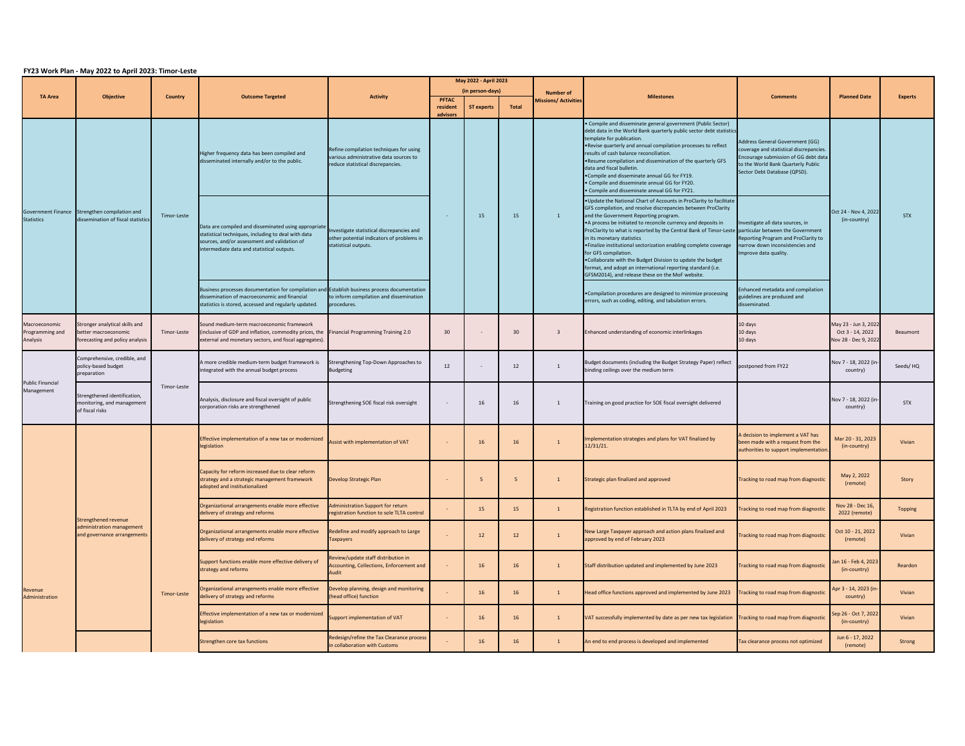| FY23 Work Plan - May 2022 to April 2023: Timor-Leste |                                                                                           |                |                                                                                                                                                                                                           |                                                                                                                        |                                           |                   |       |                                                 |                                                                                                                                                                                                                                                                                                                                                                                                                                                                                                                                                                                                                                                                   |                                                                                                                                                                                          |                                                                  |                |
|------------------------------------------------------|-------------------------------------------------------------------------------------------|----------------|-----------------------------------------------------------------------------------------------------------------------------------------------------------------------------------------------------------|------------------------------------------------------------------------------------------------------------------------|-------------------------------------------|-------------------|-------|-------------------------------------------------|-------------------------------------------------------------------------------------------------------------------------------------------------------------------------------------------------------------------------------------------------------------------------------------------------------------------------------------------------------------------------------------------------------------------------------------------------------------------------------------------------------------------------------------------------------------------------------------------------------------------------------------------------------------------|------------------------------------------------------------------------------------------------------------------------------------------------------------------------------------------|------------------------------------------------------------------|----------------|
| <b>TA Area</b>                                       | <b>Objective</b>                                                                          | <b>Country</b> | <b>Outcome Targeted</b>                                                                                                                                                                                   | <b>Activity</b>                                                                                                        | May 2022 - April 2023<br>(in person-days) |                   |       |                                                 |                                                                                                                                                                                                                                                                                                                                                                                                                                                                                                                                                                                                                                                                   |                                                                                                                                                                                          |                                                                  |                |
|                                                      |                                                                                           |                |                                                                                                                                                                                                           |                                                                                                                        | <b>PFTAC</b><br>resident<br>advisors      | <b>ST experts</b> | Total | <b>Number of</b><br><b>Missions/ Activities</b> | <b>Milestones</b>                                                                                                                                                                                                                                                                                                                                                                                                                                                                                                                                                                                                                                                 | <b>Comments</b>                                                                                                                                                                          | <b>Planned Date</b>                                              | <b>Experts</b> |
| <b>Statistics</b>                                    | Government Finance Strengthen compilation and<br>dissemination of fiscal statistics       | Timor-Leste    | Higher frequency data has been compiled and<br>disseminated internally and/or to the public.                                                                                                              | Refine compilation techniques for using<br>various administrative data sources to<br>reduce statistical discrepancies. |                                           | 15                | 15    | $\mathbf{1}$                                    | • Compile and disseminate general government (Public Sector)<br>debt data in the World Bank quarterly public sector debt statistics<br>template for publication.<br>. Revise quarterly and annual compilation processes to reflect<br>results of cash balance reconciliation.<br>. Resume compilation and dissemination of the quarterly GFS<br>data and fiscal bulletin.<br>. Compile and disseminate annual GG for FY19.<br>• Compile and disseminate annual GG for FY20.<br>• Compile and disseminate annual GG for FY21.                                                                                                                                      | Address General Government (GG)<br>coverage and statistical discrepancies.<br>Encourage submission of GG debt data<br>to the World Bank Quarterly Public<br>Sector Debt Database (QPSD). | Oct 24 - Nov 4, 2022<br>(in-country)                             |                |
|                                                      |                                                                                           |                | Data are compiled and disseminated using appropriate<br>statistical techniques, including to deal with data<br>sources, and/or assessment and validation of<br>intermediate data and statistical outputs. | Investigate statistical discrepancies and<br>other potential indicators of problems in<br>statistical outputs.         |                                           |                   |       |                                                 | .Update the National Chart of Accounts in ProClarity to facilitate<br>GFS compilation, and resolve discrepancies between ProClarity<br>and the Government Reporting program.<br>•A process be initiated to reconcile currency and deposits in<br>ProClarity to what is reported by the Central Bank of Timor-Leste particular between the Government<br>in its monetary statistics<br>. Finalize institutional sectorization enabling complete coverage<br>for GFS compilation.<br>. Collaborate with the Budget Division to update the budget<br>format, and adopt an international reporting standard (i.e.<br>GFSM2014), and release these on the MoF website. | Investigate all data sources, in<br>Reporting Program and ProClarity to<br>narrow down inconsistencies and<br>Improve data quality.                                                      |                                                                  | <b>STX</b>     |
|                                                      |                                                                                           |                | Business processes documentation for compilation and Establish business process documentation<br>dissemination of macroeconomic and financial<br>statistics is stored, accessed and regularly updated.    | to inform compilation and dissemination<br>procedures.                                                                 |                                           |                   |       |                                                 | •Compilation procedures are designed to minimize processing<br>errors, such as coding, editing, and tabulation errors.                                                                                                                                                                                                                                                                                                                                                                                                                                                                                                                                            | Enhanced metadata and compilation<br>guidelines are produced and<br>disseminated.                                                                                                        |                                                                  |                |
| Macroeconomic<br>Programming and<br>Analysis         | Stronger analytical skills and<br>better macroeconomic<br>forecasting and policy analysis | Timor-Leste    | Sound medium-term macroeconomic framework<br>(inclusive of GDP and inflation, commodity prices, the Financial Programming Training 2.0<br>external and monetary sectors, and fiscal aggregates).          |                                                                                                                        | 30 <sup>°</sup>                           |                   | 30    | -3                                              | Enhanced understanding of economic interlinkages                                                                                                                                                                                                                                                                                                                                                                                                                                                                                                                                                                                                                  | 10 days<br>10 days<br>10 days                                                                                                                                                            | May 23 - Jun 3, 2022<br>Oct 3 - 14, 2022<br>Nov 28 - Dec 9, 2022 | Beaumont       |
| <b>Public Financial</b><br>Management                | Comprehensive, credible, and<br>policy-based budget<br>preparation                        | Timor-Leste    | A more credible medium-term budget framework is<br>integrated with the annual budget process                                                                                                              | Strengthening Top-Down Approaches to<br><b>Budgeting</b>                                                               | 12                                        |                   | 12    | 1                                               | Budget documents (including the Budget Strategy Paper) reflect<br>binding ceilings over the medium term                                                                                                                                                                                                                                                                                                                                                                                                                                                                                                                                                           | postponed from FY22                                                                                                                                                                      | Nov 7 - 18, 2022 (in-<br>country)                                | Seeds/HQ       |
|                                                      | Strengthened identification,<br>monitoring, and management<br>of fiscal risks             |                | Analysis, disclosure and fiscal oversight of public<br>corporation risks are strengthened                                                                                                                 | Strengthening SOE fiscal risk oversight                                                                                |                                           | 16                | 16    | 1                                               | Training on good practice for SOE fiscal oversight delivered                                                                                                                                                                                                                                                                                                                                                                                                                                                                                                                                                                                                      |                                                                                                                                                                                          | Nov 7 - 18, 2022 (in-<br>country)                                | <b>STX</b>     |
| Revenue<br>Administration                            | <b>Strengthened revenue</b><br>administration management<br>and governance arrangements   | Timor-Leste    | Effective implementation of a new tax or modernized<br>legislation                                                                                                                                        | Assist with implementation of VAT                                                                                      |                                           | <b>16</b>         | 16    |                                                 | Implementation strategies and plans for VAT finalized by<br>12/31/21.                                                                                                                                                                                                                                                                                                                                                                                                                                                                                                                                                                                             | A decision to implement a VAT has<br>been made with a request from the<br>authorities to support implementation                                                                          | Mar 20 - 31, 2023<br>(in-country)                                | Vivian         |
|                                                      |                                                                                           |                | Capacity for reform increased due to clear reform<br>strategy and a strategic management framework<br>adopted and institutionalized                                                                       | Develop Strategic Plan                                                                                                 |                                           | -5                | -5    |                                                 | Strategic plan finalized and approved                                                                                                                                                                                                                                                                                                                                                                                                                                                                                                                                                                                                                             | Tracking to road map from diagnostic                                                                                                                                                     | May 2, 2022<br>(remote)                                          | Story          |
|                                                      |                                                                                           |                | Organizational arrangements enable more effective<br>delivery of strategy and reforms                                                                                                                     | Administration Support for return<br>registration function to sole TLTA control                                        |                                           | 15                | 15    | 1                                               | Registration function established in TLTA by end of April 2023                                                                                                                                                                                                                                                                                                                                                                                                                                                                                                                                                                                                    | Tracking to road map from diagnostic                                                                                                                                                     | Nov 28 - Dec 16,<br>2022 (remote)                                | <b>Topping</b> |
|                                                      |                                                                                           |                | Organizational arrangements enable more effective<br>delivery of strategy and reforms                                                                                                                     | edefine and modify approach to Large<br><b>Taxpayers</b>                                                               |                                           | 12                | 12    |                                                 | New Large Taxpayer approach and action plans finalized and<br>approved by end of February 2023                                                                                                                                                                                                                                                                                                                                                                                                                                                                                                                                                                    | Tracking to road map from diagnostic                                                                                                                                                     | Oct 10 - 21, 2022<br>(remote)                                    | Vivian         |
|                                                      |                                                                                           |                | Support functions enable more effective delivery of<br>strategy and reforms                                                                                                                               | Review/update staff distribution in<br>Accounting, Collections, Enforcement and<br><b>Audit</b>                        |                                           | 16                | 16    | 1                                               | Staff distribution updated and implemented by June 2023                                                                                                                                                                                                                                                                                                                                                                                                                                                                                                                                                                                                           | Tracking to road map from diagnostic                                                                                                                                                     | lan 16 - Feb 4, 2023<br>(in-country)                             | Reardon        |
|                                                      |                                                                                           |                | Organizational arrangements enable more effective<br>delivery of strategy and reforms                                                                                                                     | Develop planning, design and monitoring<br>(head office) function                                                      |                                           | 16                | 16    |                                                 | Head office functions approved and implemented by June 2023                                                                                                                                                                                                                                                                                                                                                                                                                                                                                                                                                                                                       | Tracking to road map from diagnostic                                                                                                                                                     | Apr 3 - 14, 2023 (in-<br>country)                                | Vivian         |
|                                                      |                                                                                           |                | Effective implementation of a new tax or modernized<br>legislation                                                                                                                                        | Support implementation of VAT                                                                                          |                                           | 16                | 16    |                                                 | VAT successfully implemented by date as per new tax legislation Tracking to road map from diagnostic                                                                                                                                                                                                                                                                                                                                                                                                                                                                                                                                                              |                                                                                                                                                                                          | Sep 26 - Oct 7, 2022<br>(in-country)                             | Vivian         |
|                                                      |                                                                                           |                | Strengthen core tax functions                                                                                                                                                                             | Redesign/refine the Tax Clearance process<br>in collaboration with Customs                                             |                                           | 16                | 16    | 1                                               | An end to end process is developed and implemented                                                                                                                                                                                                                                                                                                                                                                                                                                                                                                                                                                                                                | Tax clearance process not optimized                                                                                                                                                      | Jun 6 - 17, 2022<br>(remote)                                     | Strong         |